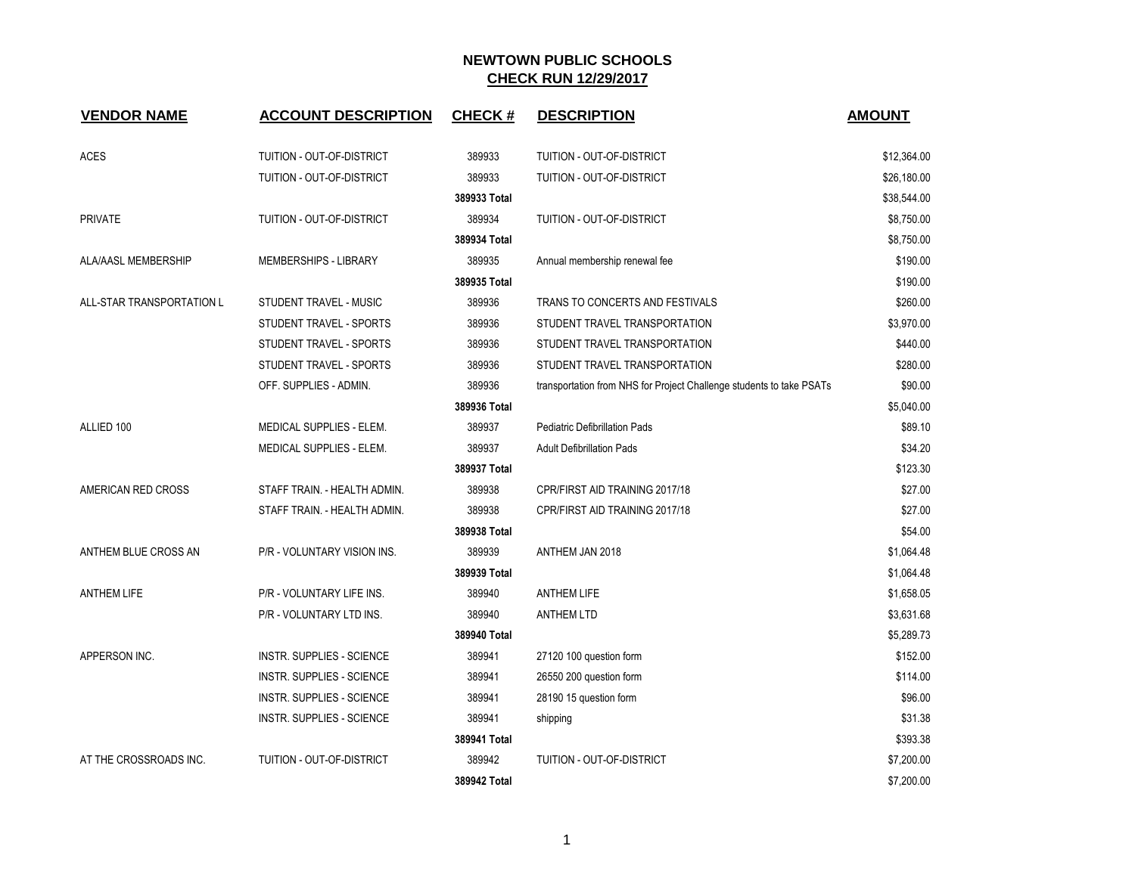| <b>VENDOR NAME</b>        | <b>ACCOUNT DESCRIPTION</b>       | <b>CHECK#</b> | <b>DESCRIPTION</b>                                                   | <b>AMOUNT</b> |
|---------------------------|----------------------------------|---------------|----------------------------------------------------------------------|---------------|
| ACES                      | TUITION - OUT-OF-DISTRICT        | 389933        | TUITION - OUT-OF-DISTRICT                                            | \$12,364.00   |
|                           | TUITION - OUT-OF-DISTRICT        | 389933        | TUITION - OUT-OF-DISTRICT                                            | \$26,180.00   |
|                           |                                  | 389933 Total  |                                                                      | \$38,544.00   |
| <b>PRIVATE</b>            | TUITION - OUT-OF-DISTRICT        | 389934        | TUITION - OUT-OF-DISTRICT                                            | \$8,750.00    |
|                           |                                  | 389934 Total  |                                                                      | \$8,750.00    |
| ALA/AASL MEMBERSHIP       | MEMBERSHIPS - LIBRARY            | 389935        | Annual membership renewal fee                                        | \$190.00      |
|                           |                                  | 389935 Total  |                                                                      | \$190.00      |
| ALL-STAR TRANSPORTATION L | STUDENT TRAVEL - MUSIC           | 389936        | TRANS TO CONCERTS AND FESTIVALS                                      | \$260.00      |
|                           | STUDENT TRAVEL - SPORTS          | 389936        | STUDENT TRAVEL TRANSPORTATION                                        | \$3,970.00    |
|                           | STUDENT TRAVEL - SPORTS          | 389936        | STUDENT TRAVEL TRANSPORTATION                                        | \$440.00      |
|                           | STUDENT TRAVEL - SPORTS          | 389936        | STUDENT TRAVEL TRANSPORTATION                                        | \$280.00      |
|                           | OFF. SUPPLIES - ADMIN.           | 389936        | transportation from NHS for Project Challenge students to take PSATs | \$90.00       |
|                           |                                  | 389936 Total  |                                                                      | \$5,040.00    |
| ALLIED 100                | MEDICAL SUPPLIES - ELEM.         | 389937        | <b>Pediatric Defibrillation Pads</b>                                 | \$89.10       |
|                           | MEDICAL SUPPLIES - ELEM.         | 389937        | <b>Adult Defibrillation Pads</b>                                     | \$34.20       |
|                           |                                  | 389937 Total  |                                                                      | \$123.30      |
| AMERICAN RED CROSS        | STAFF TRAIN. - HEALTH ADMIN.     | 389938        | CPR/FIRST AID TRAINING 2017/18                                       | \$27.00       |
|                           | STAFF TRAIN. - HEALTH ADMIN.     | 389938        | CPR/FIRST AID TRAINING 2017/18                                       | \$27.00       |
|                           |                                  | 389938 Total  |                                                                      | \$54.00       |
| ANTHEM BLUE CROSS AN      | P/R - VOLUNTARY VISION INS.      | 389939        | ANTHEM JAN 2018                                                      | \$1,064.48    |
|                           |                                  | 389939 Total  |                                                                      | \$1,064.48    |
| <b>ANTHEM LIFE</b>        | P/R - VOLUNTARY LIFE INS.        | 389940        | <b>ANTHEM LIFE</b>                                                   | \$1,658.05    |
|                           | P/R - VOLUNTARY LTD INS.         | 389940        | <b>ANTHEM LTD</b>                                                    | \$3,631.68    |
|                           |                                  | 389940 Total  |                                                                      | \$5,289.73    |
| APPERSON INC.             | INSTR. SUPPLIES - SCIENCE        | 389941        | 27120 100 question form                                              | \$152.00      |
|                           | <b>INSTR. SUPPLIES - SCIENCE</b> | 389941        | 26550 200 question form                                              | \$114.00      |
|                           | INSTR. SUPPLIES - SCIENCE        | 389941        | 28190 15 question form                                               | \$96.00       |
|                           | <b>INSTR. SUPPLIES - SCIENCE</b> | 389941        | shipping                                                             | \$31.38       |
|                           |                                  | 389941 Total  |                                                                      | \$393.38      |
| AT THE CROSSROADS INC.    | TUITION - OUT-OF-DISTRICT        | 389942        | <b>TUITION - OUT-OF-DISTRICT</b>                                     | \$7,200.00    |
|                           |                                  | 389942 Total  |                                                                      | \$7,200.00    |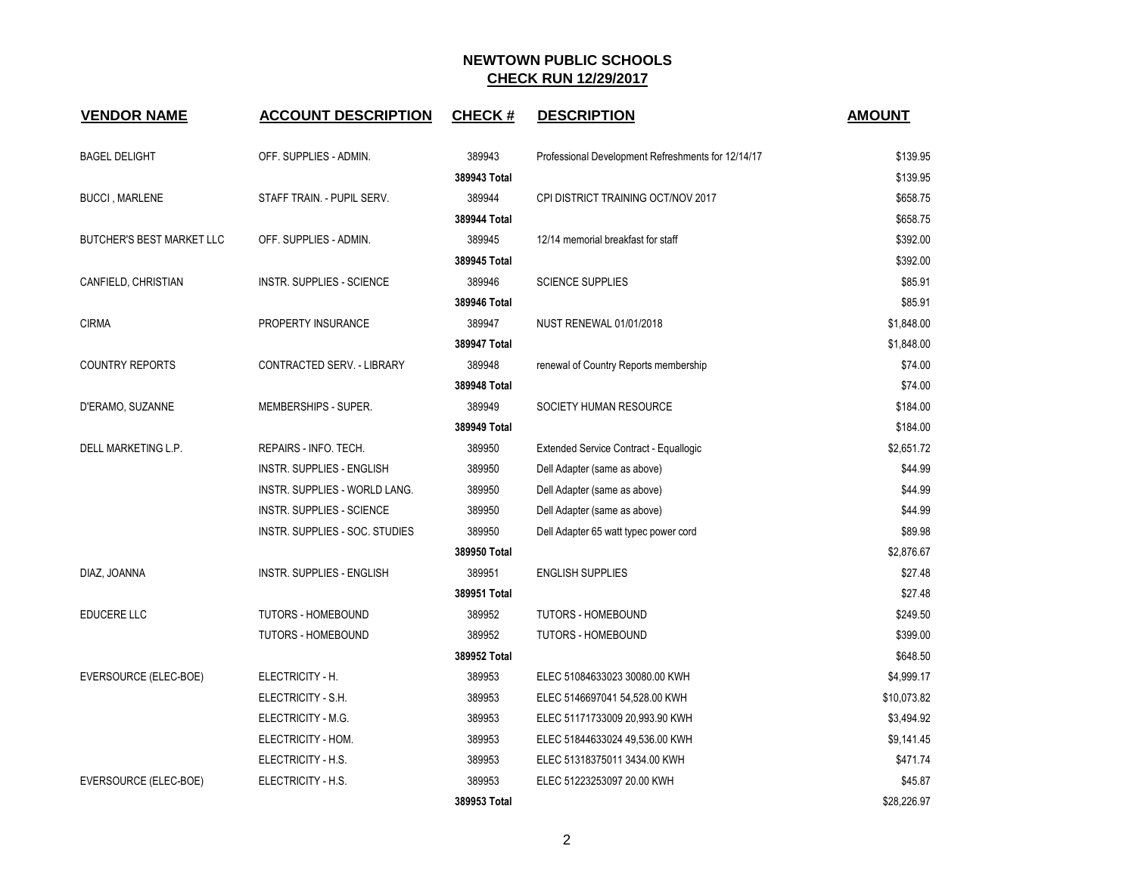| <b>VENDOR NAME</b>        | <b>ACCOUNT DESCRIPTION</b>       | <b>CHECK#</b> | <b>DESCRIPTION</b>                                 | <b>AMOUNT</b> |
|---------------------------|----------------------------------|---------------|----------------------------------------------------|---------------|
| <b>BAGEL DELIGHT</b>      | OFF. SUPPLIES - ADMIN.           | 389943        | Professional Development Refreshments for 12/14/17 | \$139.95      |
|                           |                                  | 389943 Total  |                                                    | \$139.95      |
| <b>BUCCI, MARLENE</b>     | STAFF TRAIN. - PUPIL SERV.       | 389944        | CPI DISTRICT TRAINING OCT/NOV 2017                 | \$658.75      |
|                           |                                  | 389944 Total  |                                                    | \$658.75      |
| BUTCHER'S BEST MARKET LLC | OFF. SUPPLIES - ADMIN.           | 389945        | 12/14 memorial breakfast for staff                 | \$392.00      |
|                           |                                  | 389945 Total  |                                                    | \$392.00      |
| CANFIELD, CHRISTIAN       | <b>INSTR. SUPPLIES - SCIENCE</b> | 389946        | <b>SCIENCE SUPPLIES</b>                            | \$85.91       |
|                           |                                  | 389946 Total  |                                                    | \$85.91       |
| <b>CIRMA</b>              | PROPERTY INSURANCE               | 389947        | <b>NUST RENEWAL 01/01/2018</b>                     | \$1,848.00    |
|                           |                                  | 389947 Total  |                                                    | \$1,848.00    |
| <b>COUNTRY REPORTS</b>    | CONTRACTED SERV. - LIBRARY       | 389948        | renewal of Country Reports membership              | \$74.00       |
|                           |                                  | 389948 Total  |                                                    | \$74.00       |
| D'ERAMO, SUZANNE          | MEMBERSHIPS - SUPER.             | 389949        | SOCIETY HUMAN RESOURCE                             | \$184.00      |
|                           |                                  | 389949 Total  |                                                    | \$184.00      |
| DELL MARKETING L.P.       | REPAIRS - INFO. TECH.            | 389950        | Extended Service Contract - Equallogic             | \$2,651.72    |
|                           | INSTR. SUPPLIES - ENGLISH        | 389950        | Dell Adapter (same as above)                       | \$44.99       |
|                           | INSTR. SUPPLIES - WORLD LANG.    | 389950        | Dell Adapter (same as above)                       | \$44.99       |
|                           | <b>INSTR. SUPPLIES - SCIENCE</b> | 389950        | Dell Adapter (same as above)                       | \$44.99       |
|                           | INSTR. SUPPLIES - SOC. STUDIES   | 389950        | Dell Adapter 65 watt typec power cord              | \$89.98       |
|                           |                                  | 389950 Total  |                                                    | \$2,876.67    |
| DIAZ, JOANNA              | INSTR. SUPPLIES - ENGLISH        | 389951        | <b>ENGLISH SUPPLIES</b>                            | \$27.48       |
|                           |                                  | 389951 Total  |                                                    | \$27.48       |
| <b>EDUCERE LLC</b>        | <b>TUTORS - HOMEBOUND</b>        | 389952        | <b>TUTORS - HOMEBOUND</b>                          | \$249.50      |
|                           | TUTORS - HOMEBOUND               | 389952        | <b>TUTORS - HOMEBOUND</b>                          | \$399.00      |
|                           |                                  | 389952 Total  |                                                    | \$648.50      |
| EVERSOURCE (ELEC-BOE)     | ELECTRICITY - H.                 | 389953        | ELEC 51084633023 30080.00 KWH                      | \$4,999.17    |
|                           | ELECTRICITY - S.H.               | 389953        | ELEC 5146697041 54,528.00 KWH                      | \$10,073.82   |
|                           | ELECTRICITY - M.G.               | 389953        | ELEC 51171733009 20,993.90 KWH                     | \$3,494.92    |
|                           | ELECTRICITY - HOM.               | 389953        | ELEC 51844633024 49,536.00 KWH                     | \$9,141.45    |
|                           | ELECTRICITY - H.S.               | 389953        | ELEC 51318375011 3434.00 KWH                       | \$471.74      |
| EVERSOURCE (ELEC-BOE)     | ELECTRICITY - H.S.               | 389953        | ELEC 51223253097 20.00 KWH                         | \$45.87       |
|                           |                                  | 389953 Total  |                                                    | \$28,226.97   |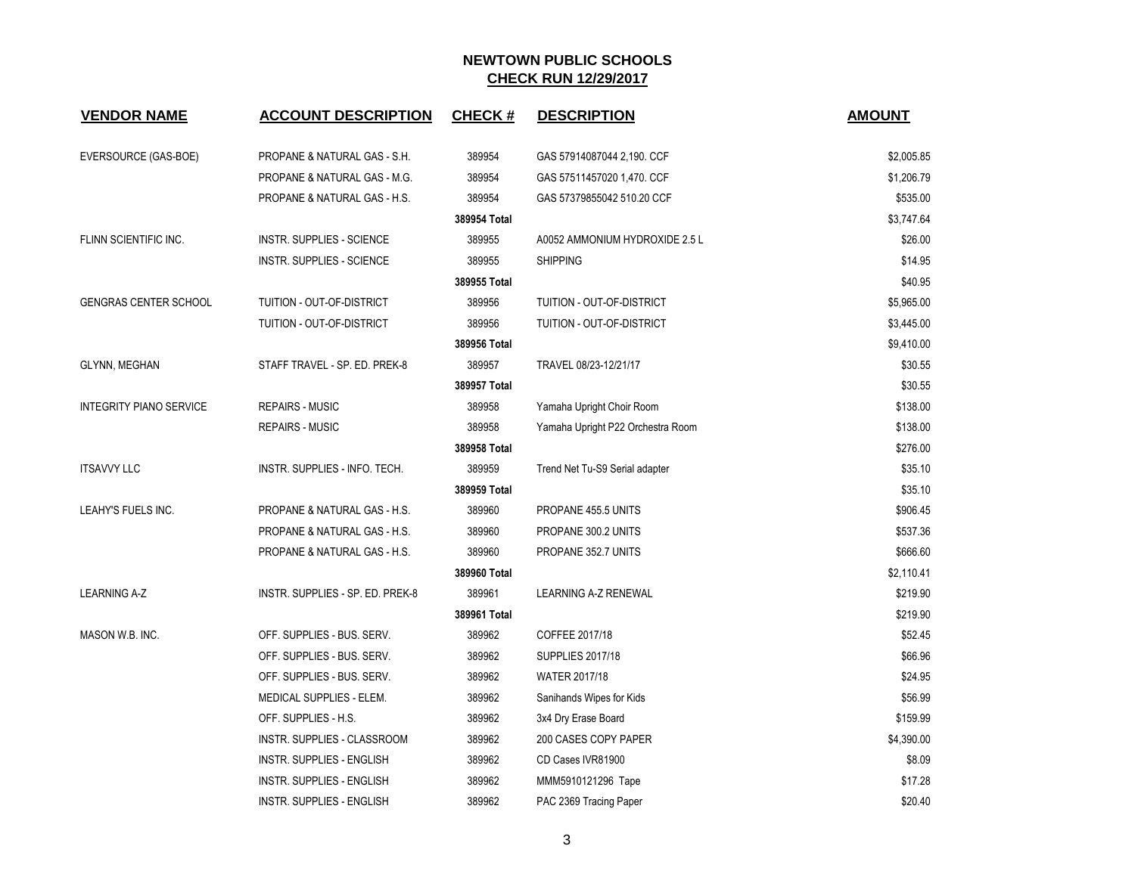| <b>VENDOR NAME</b>             | <b>ACCOUNT DESCRIPTION</b>         | <b>CHECK#</b> | <b>DESCRIPTION</b>                | <b>AMOUNT</b> |
|--------------------------------|------------------------------------|---------------|-----------------------------------|---------------|
| EVERSOURCE (GAS-BOE)           | PROPANE & NATURAL GAS - S.H.       | 389954        | GAS 57914087044 2,190. CCF        | \$2,005.85    |
|                                | PROPANE & NATURAL GAS - M.G.       | 389954        | GAS 57511457020 1,470. CCF        | \$1,206.79    |
|                                | PROPANE & NATURAL GAS - H.S.       | 389954        | GAS 57379855042 510.20 CCF        | \$535.00      |
|                                |                                    | 389954 Total  |                                   | \$3,747.64    |
| FLINN SCIENTIFIC INC.          | INSTR. SUPPLIES - SCIENCE          | 389955        | A0052 AMMONIUM HYDROXIDE 2.5 L    | \$26.00       |
|                                | INSTR. SUPPLIES - SCIENCE          | 389955        | <b>SHIPPING</b>                   | \$14.95       |
|                                |                                    | 389955 Total  |                                   | \$40.95       |
| <b>GENGRAS CENTER SCHOOL</b>   | TUITION - OUT-OF-DISTRICT          | 389956        | TUITION - OUT-OF-DISTRICT         | \$5,965.00    |
|                                | TUITION - OUT-OF-DISTRICT          | 389956        | TUITION - OUT-OF-DISTRICT         | \$3,445.00    |
|                                |                                    | 389956 Total  |                                   | \$9,410.00    |
| <b>GLYNN, MEGHAN</b>           | STAFF TRAVEL - SP. ED. PREK-8      | 389957        | TRAVEL 08/23-12/21/17             | \$30.55       |
|                                |                                    | 389957 Total  |                                   | \$30.55       |
| <b>INTEGRITY PIANO SERVICE</b> | <b>REPAIRS - MUSIC</b>             | 389958        | Yamaha Upright Choir Room         | \$138.00      |
|                                | <b>REPAIRS - MUSIC</b>             | 389958        | Yamaha Upright P22 Orchestra Room | \$138.00      |
|                                |                                    | 389958 Total  |                                   | \$276.00      |
| <b>ITSAVVY LLC</b>             | INSTR. SUPPLIES - INFO. TECH.      | 389959        | Trend Net Tu-S9 Serial adapter    | \$35.10       |
|                                |                                    | 389959 Total  |                                   | \$35.10       |
| LEAHY'S FUELS INC.             | PROPANE & NATURAL GAS - H.S.       | 389960        | PROPANE 455.5 UNITS               | \$906.45      |
|                                | PROPANE & NATURAL GAS - H.S.       | 389960        | PROPANE 300.2 UNITS               | \$537.36      |
|                                | PROPANE & NATURAL GAS - H.S.       | 389960        | PROPANE 352.7 UNITS               | \$666.60      |
|                                |                                    | 389960 Total  |                                   | \$2,110.41    |
| <b>LEARNING A-Z</b>            | INSTR. SUPPLIES - SP. ED. PREK-8   | 389961        | <b>LEARNING A-Z RENEWAL</b>       | \$219.90      |
|                                |                                    | 389961 Total  |                                   | \$219.90      |
| MASON W.B. INC.                | OFF. SUPPLIES - BUS. SERV.         | 389962        | COFFEE 2017/18                    | \$52.45       |
|                                | OFF. SUPPLIES - BUS. SERV.         | 389962        | <b>SUPPLIES 2017/18</b>           | \$66.96       |
|                                | OFF. SUPPLIES - BUS. SERV.         | 389962        | WATER 2017/18                     | \$24.95       |
|                                | MEDICAL SUPPLIES - ELEM.           | 389962        | Sanihands Wipes for Kids          | \$56.99       |
|                                | OFF. SUPPLIES - H.S.               | 389962        | 3x4 Dry Erase Board               | \$159.99      |
|                                | <b>INSTR. SUPPLIES - CLASSROOM</b> | 389962        | 200 CASES COPY PAPER              | \$4,390.00    |
|                                | INSTR. SUPPLIES - ENGLISH          | 389962        | CD Cases IVR81900                 | \$8.09        |
|                                | <b>INSTR. SUPPLIES - ENGLISH</b>   | 389962        | MMM5910121296 Tape                | \$17.28       |
|                                | INSTR. SUPPLIES - ENGLISH          | 389962        | PAC 2369 Tracing Paper            | \$20.40       |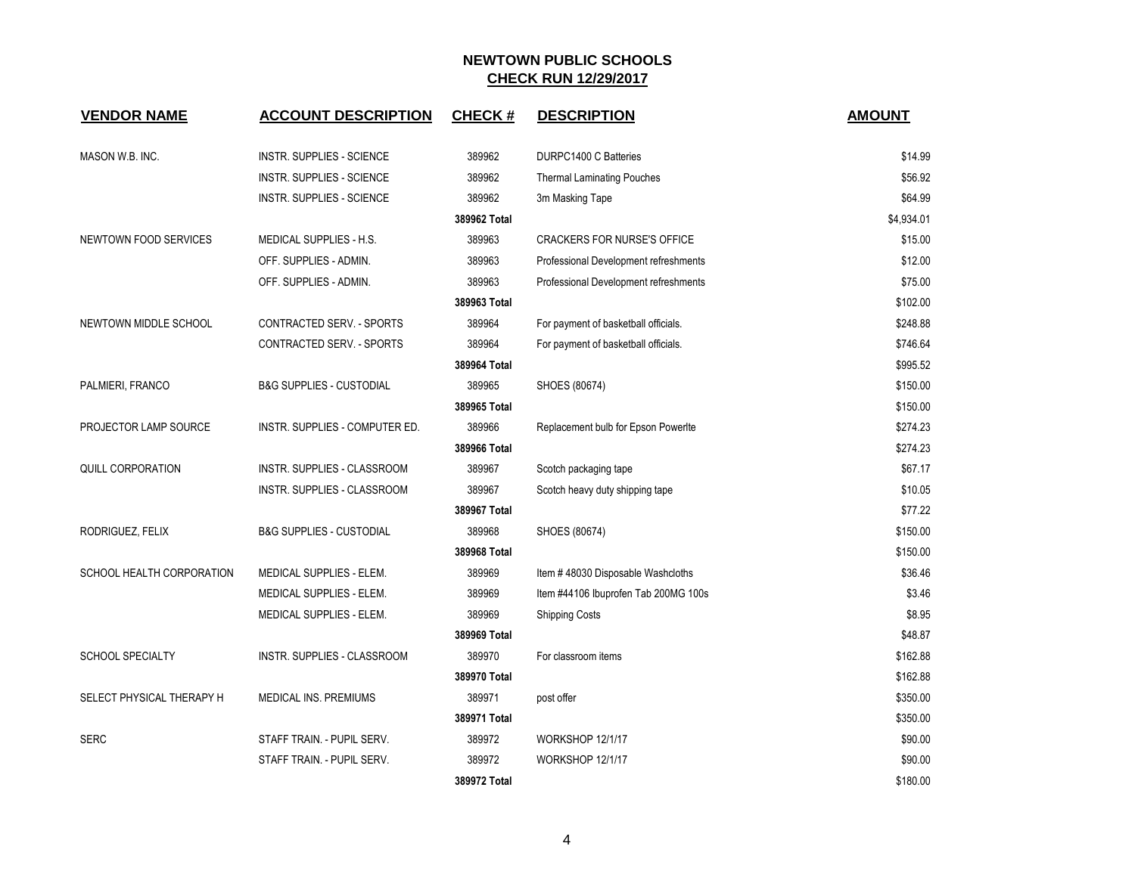| <b>VENDOR NAME</b>        | <b>ACCOUNT DESCRIPTION</b>          | <b>CHECK#</b> | <b>DESCRIPTION</b>                    | <b>AMOUNT</b> |
|---------------------------|-------------------------------------|---------------|---------------------------------------|---------------|
| MASON W.B. INC.           | INSTR. SUPPLIES - SCIENCE           | 389962        | DURPC1400 C Batteries                 | \$14.99       |
|                           | <b>INSTR. SUPPLIES - SCIENCE</b>    | 389962        | <b>Thermal Laminating Pouches</b>     | \$56.92       |
|                           | <b>INSTR. SUPPLIES - SCIENCE</b>    | 389962        | 3m Masking Tape                       | \$64.99       |
|                           |                                     | 389962 Total  |                                       | \$4,934.01    |
| NEWTOWN FOOD SERVICES     | <b>MEDICAL SUPPLIES - H.S.</b>      | 389963        | <b>CRACKERS FOR NURSE'S OFFICE</b>    | \$15.00       |
|                           | OFF. SUPPLIES - ADMIN.              | 389963        | Professional Development refreshments | \$12.00       |
|                           | OFF. SUPPLIES - ADMIN.              | 389963        | Professional Development refreshments | \$75.00       |
|                           |                                     | 389963 Total  |                                       | \$102.00      |
| NEWTOWN MIDDLE SCHOOL     | CONTRACTED SERV. - SPORTS           | 389964        | For payment of basketball officials.  | \$248.88      |
|                           | CONTRACTED SERV. - SPORTS           | 389964        | For payment of basketball officials.  | \$746.64      |
|                           |                                     | 389964 Total  |                                       | \$995.52      |
| PALMIERI, FRANCO          | <b>B&amp;G SUPPLIES - CUSTODIAL</b> | 389965        | SHOES (80674)                         | \$150.00      |
|                           |                                     | 389965 Total  |                                       | \$150.00      |
| PROJECTOR LAMP SOURCE     | INSTR. SUPPLIES - COMPUTER ED.      | 389966        | Replacement bulb for Epson Powerlte   | \$274.23      |
|                           |                                     | 389966 Total  |                                       | \$274.23      |
| QUILL CORPORATION         | INSTR. SUPPLIES - CLASSROOM         | 389967        | Scotch packaging tape                 | \$67.17       |
|                           | INSTR. SUPPLIES - CLASSROOM         | 389967        | Scotch heavy duty shipping tape       | \$10.05       |
|                           |                                     | 389967 Total  |                                       | \$77.22       |
| RODRIGUEZ, FELIX          | <b>B&amp;G SUPPLIES - CUSTODIAL</b> | 389968        | SHOES (80674)                         | \$150.00      |
|                           |                                     | 389968 Total  |                                       | \$150.00      |
| SCHOOL HEALTH CORPORATION | <b>MEDICAL SUPPLIES - ELEM.</b>     | 389969        | Item #48030 Disposable Washcloths     | \$36.46       |
|                           | MEDICAL SUPPLIES - ELEM.            | 389969        | Item #44106 Ibuprofen Tab 200MG 100s  | \$3.46        |
|                           | MEDICAL SUPPLIES - ELEM.            | 389969        | <b>Shipping Costs</b>                 | \$8.95        |
|                           |                                     | 389969 Total  |                                       | \$48.87       |
| SCHOOL SPECIALTY          | INSTR. SUPPLIES - CLASSROOM         | 389970        | For classroom items                   | \$162.88      |
|                           |                                     | 389970 Total  |                                       | \$162.88      |
| SELECT PHYSICAL THERAPY H | MEDICAL INS. PREMIUMS               | 389971        | post offer                            | \$350.00      |
|                           |                                     | 389971 Total  |                                       | \$350.00      |
| <b>SERC</b>               | STAFF TRAIN. - PUPIL SERV.          | 389972        | WORKSHOP 12/1/17                      | \$90.00       |
|                           | STAFF TRAIN. - PUPIL SERV.          | 389972        | WORKSHOP 12/1/17                      | \$90.00       |
|                           |                                     | 389972 Total  |                                       | \$180.00      |